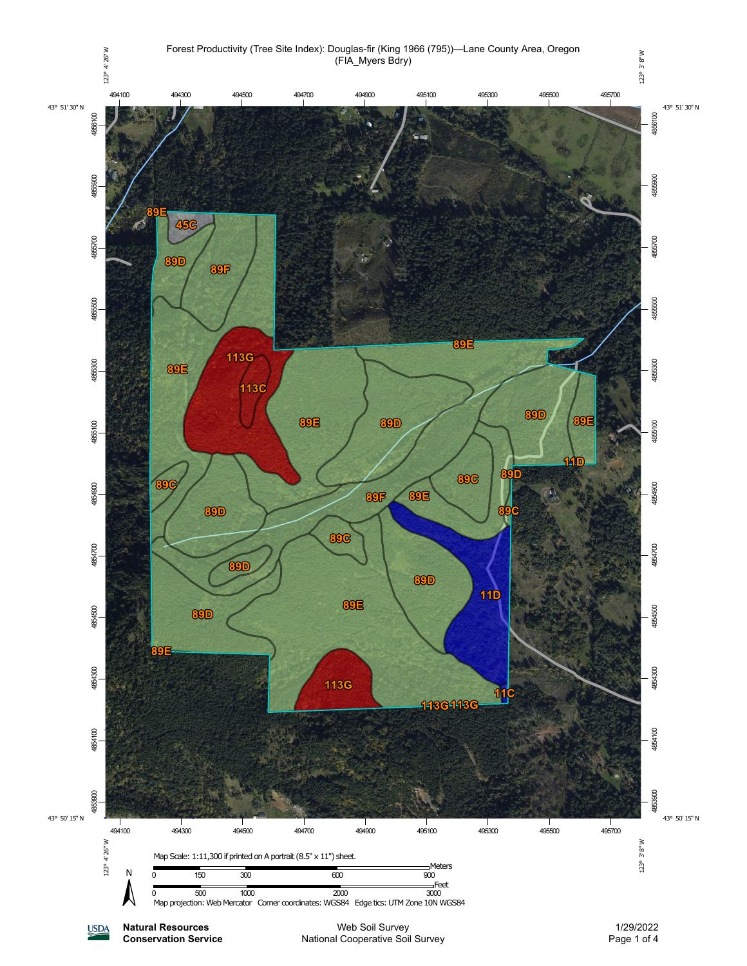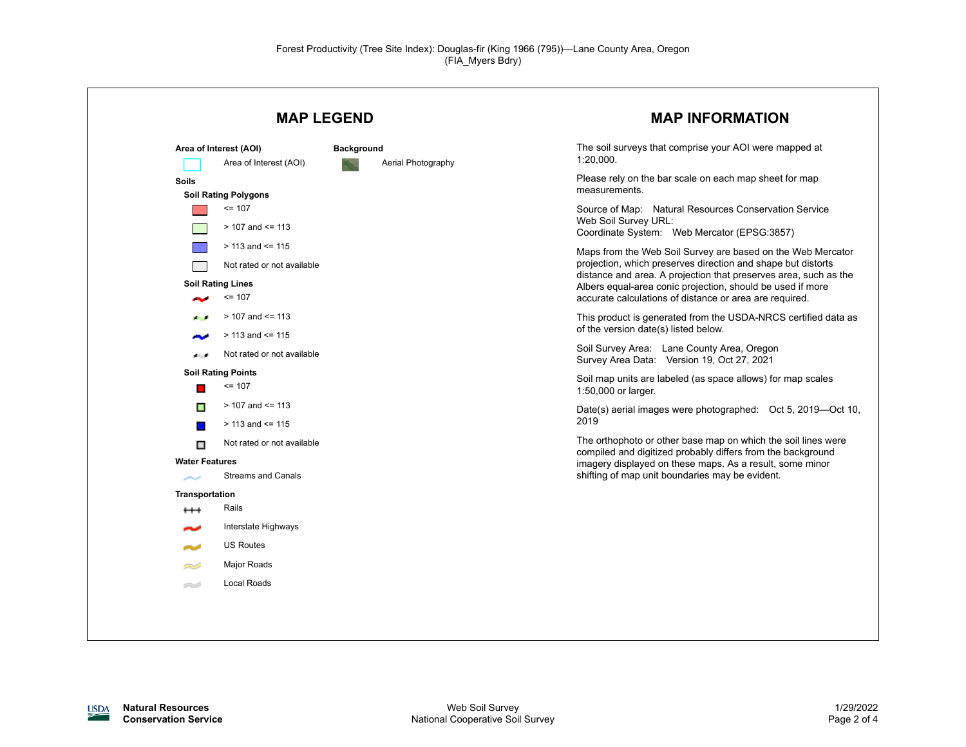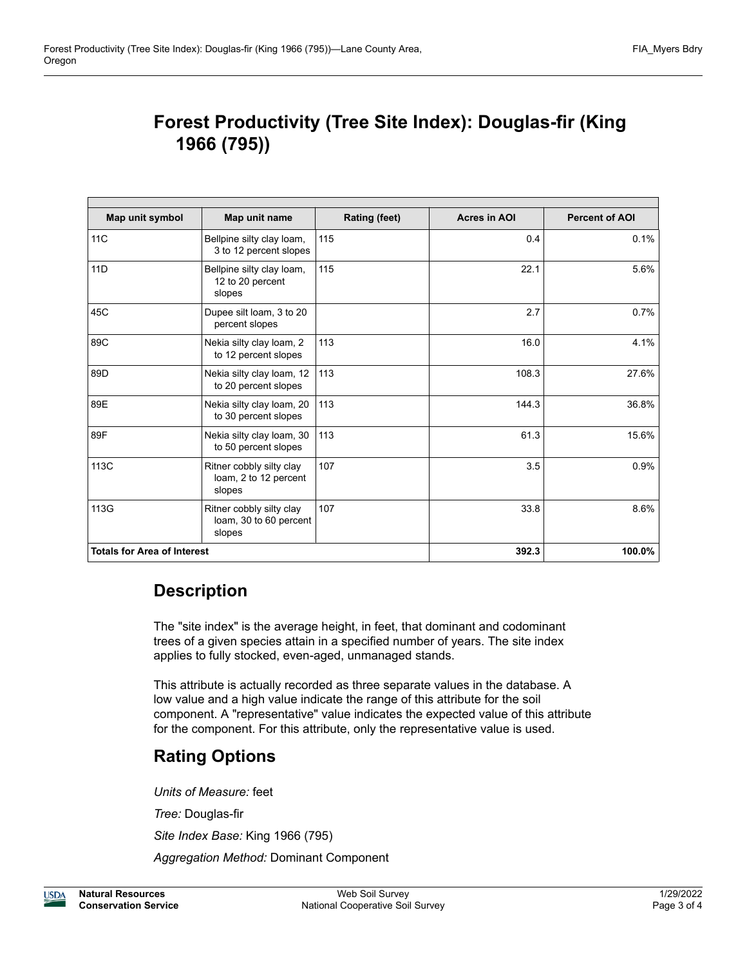## **Forest Productivity (Tree Site Index): Douglas-fir (King 1966 (795))**

| Map unit symbol                    | Map unit name                                                | <b>Rating (feet)</b> | <b>Acres in AOI</b> | <b>Percent of AOI</b> |
|------------------------------------|--------------------------------------------------------------|----------------------|---------------------|-----------------------|
| 11C                                | Bellpine silty clay loam,<br>3 to 12 percent slopes          | 115                  | 0.4                 | 0.1%                  |
| 11D                                | Bellpine silty clay loam,<br>12 to 20 percent<br>slopes      | 115                  | 22.1                | 5.6%                  |
| 45C                                | Dupee silt loam, 3 to 20<br>percent slopes                   |                      | 2.7                 | 0.7%                  |
| 89C                                | Nekia silty clay loam, 2<br>to 12 percent slopes             | 113                  | 16.0                | 4.1%                  |
| 89D                                | Nekia silty clay loam, 12<br>to 20 percent slopes            | 113                  | 108.3               | 27.6%                 |
| 89E                                | Nekia silty clay loam, 20<br>to 30 percent slopes            | 113                  | 144.3               | 36.8%                 |
| 89F                                | Nekia silty clay loam, 30<br>to 50 percent slopes            | 113                  | 61.3                | 15.6%                 |
| 113C                               | Ritner cobbly silty clay<br>loam, 2 to 12 percent<br>slopes  | 107                  | 3.5                 | 0.9%                  |
| 113G                               | Ritner cobbly silty clay<br>loam, 30 to 60 percent<br>slopes | 107                  | 33.8                | 8.6%                  |
| <b>Totals for Area of Interest</b> |                                                              |                      | 392.3               | 100.0%                |

## **Description**

The "site index" is the average height, in feet, that dominant and codominant trees of a given species attain in a specified number of years. The site index applies to fully stocked, even-aged, unmanaged stands.

This attribute is actually recorded as three separate values in the database. A low value and a high value indicate the range of this attribute for the soil component. A "representative" value indicates the expected value of this attribute for the component. For this attribute, only the representative value is used.

## **Rating Options**

*Units of Measure:* feet *Tree:* Douglas-fir *Site Index Base:* King 1966 (795) *Aggregation Method:* Dominant Component